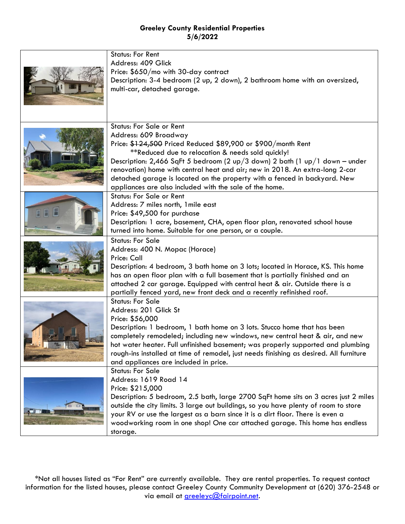| <b>Status: For Rent</b><br>Address: 409 Glick<br>Price: \$650/mo with 30-day contract<br>Description: 3-4 bedroom (2 up, 2 down), 2 bathroom home with an oversized,<br>multi-car, detached garage.                                                                                                                                                                                                                                                                                    |
|----------------------------------------------------------------------------------------------------------------------------------------------------------------------------------------------------------------------------------------------------------------------------------------------------------------------------------------------------------------------------------------------------------------------------------------------------------------------------------------|
|                                                                                                                                                                                                                                                                                                                                                                                                                                                                                        |
| <b>Status: For Sale or Rent</b><br>Address: 609 Broadway<br>Price: \$124,500 Priced Reduced \$89,900 or \$900/month Rent<br>**Reduced due to relocation & needs sold quickly!<br>Description: $2,466$ SqFt 5 bedroom (2 up/3 down) 2 bath (1 up/1 down - under<br>renovation) home with central heat and air; new in 2018. An extra-long 2-car<br>detached garage is located on the property with a fenced in backyard. New<br>appliances are also included with the sale of the home. |
| <b>Status: For Sale or Rent</b><br>Address: 7 miles north, 1 mile east<br>Price: \$49,500 for purchase<br>Description: 1 acre, basement, CHA, open floor plan, renovated school house<br>turned into home. Suitable for one person, or a couple.                                                                                                                                                                                                                                       |
| <b>Status: For Sale</b><br>Address: 400 N. Mopac (Horace)<br>Price: Call<br>Description: 4 bedroom, 3 bath home on 3 lots; located in Horace, KS. This home<br>has an open floor plan with a full basement that is partially finished and an<br>attached 2 car garage. Equipped with central heat & air. Outside there is a<br>partially fenced yard, new front deck and a recently refinished roof.                                                                                   |
| <b>Status: For Sale</b><br>Address: 201 Glick St<br>Price: \$56,000<br>Description: 1 bedroom, 1 bath home on 3 lots. Stucco home that has been<br>completely remodeled; including new windows, new central heat & air, and new<br>hot water heater. Full unfinished basement; was properly supported and plumbing<br>rough-ins installed at time of remodel, just needs finishing as desired. All furniture<br>and appliances are included in price.                                  |
| <b>Status: For Sale</b><br>Address: 1619 Road 14<br>Price: \$215,000<br>Description: 5 bedroom, 2.5 bath, large 2700 SqFt home sits on 3 acres just 2 miles<br>outside the city limits. 3 large out buildings, so you have plenty of room to store<br>your RV or use the largest as a barn since it is a dirt floor. There is even a<br>woodworking room in one shop! One car attached garage. This home has endless<br>storage.                                                       |

\*Not all houses listed as "For Rent" are currently available. They are rental properties. To request contact information for the listed houses, please contact Greeley County Community Development at (620) 376-2548 or via email at *greeleyc@fairpoint.net*.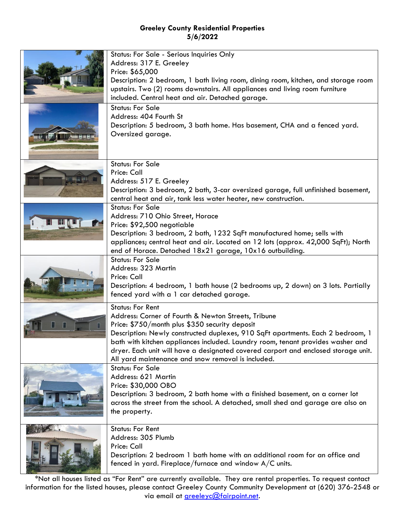| Status: For Sale - Serious Inquiries Only<br>Address: 317 E. Greeley<br>Price: \$65,000<br>Description: 2 bedroom, 1 bath living room, dining room, kitchen, and storage room<br>upstairs. Two (2) rooms downstairs. All appliances and living room furniture<br>included. Central heat and air. Detached garage.                                                                                                                                  |
|----------------------------------------------------------------------------------------------------------------------------------------------------------------------------------------------------------------------------------------------------------------------------------------------------------------------------------------------------------------------------------------------------------------------------------------------------|
| <b>Status: For Sale</b><br>Address: 404 Fourth St<br>Description: 5 bedroom, 3 bath home. Has basement, CHA and a fenced yard.<br>Oversized garage.                                                                                                                                                                                                                                                                                                |
| <b>Status: For Sale</b><br>Price: Call<br>Address: 517 E. Greeley<br>Description: 3 bedroom, 2 bath, 3-car oversized garage, full unfinished basement,<br>central heat and air, tank less water heater, new construction.                                                                                                                                                                                                                          |
| <b>Status: For Sale</b><br>Address: 710 Ohio Street, Horace<br>Price: \$92,500 negotiable<br>Description: 3 bedroom, 2 bath, 1232 SqFt manufactured home; sells with<br>appliances; central heat and air. Located on 12 lots (approx. 42,000 SqFt); North<br>end of Horace. Detached 18x21 garage, 10x16 outbuilding.                                                                                                                              |
| <b>Status: For Sale</b><br>Address: 323 Martin<br>Price: Call<br>Description: 4 bedroom, 1 bath house (2 bedrooms up, 2 down) on 3 lots. Partially<br>fenced yard with a 1 car detached garage.                                                                                                                                                                                                                                                    |
| <b>Status: For Rent</b><br>Address: Corner of Fourth & Newton Streets, Tribune<br>Price: \$750/month plus \$350 security deposit<br>Description: Newly constructed duplexes, 910 SqFt apartments. Each 2 bedroom, 1<br>bath with kitchen appliances included. Laundry room, tenant provides washer and<br>dryer. Each unit will have a designated covered carport and enclosed storage unit.<br>All yard maintenance and snow removal is included. |
| <b>Status: For Sale</b><br>Address: 621 Martin<br>Price: \$30,000 OBO<br>Description: 3 bedroom, 2 bath home with a finished basement, on a corner lot<br>across the street from the school. A detached, small shed and garage are also on<br>the property.                                                                                                                                                                                        |
| <b>Status: For Rent</b><br>Address: 305 Plumb<br>Price: Call<br>Description: 2 bedroom 1 bath home with an additional room for an office and<br>fenced in yard. Fireplace/furnace and window A/C units.                                                                                                                                                                                                                                            |

\*Not all houses listed as "For Rent" are currently available. They are rental properties. To request contact information for the listed houses, please contact Greeley County Community Development at (620) 376-2548 or via email at [greeleyc@fairpoint.net.](mailto:greeleyc@fairpoint.net)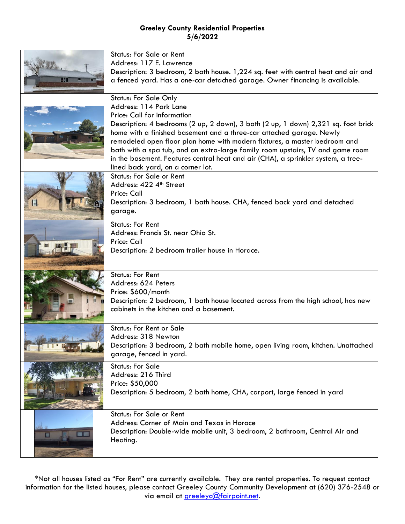|    | <b>Status: For Sale or Rent</b>                                                    |
|----|------------------------------------------------------------------------------------|
|    | Address: 117 E. Lawrence                                                           |
|    | Description: 3 bedroom, 2 bath house. 1,224 sq. feet with central heat and air and |
| 41 | a fenced yard. Has a one-car detached garage. Owner financing is available.        |
|    |                                                                                    |
|    |                                                                                    |
|    | <b>Status: For Sale Only</b>                                                       |
|    | Address: 114 Park Lane                                                             |
|    | Price: Call for information                                                        |
|    | Description: 4 bedrooms (2 up, 2 down), 3 bath (2 up, 1 down) 2,321 sq. foot brick |
|    | home with a finished basement and a three-car attached garage. Newly               |
|    | remodeled open floor plan home with modern fixtures, a master bedroom and          |
|    | bath with a spa tub, and an extra-large family room upstairs, TV and game room     |
|    | in the basement. Features central heat and air (CHA), a sprinkler system, a tree-  |
|    | lined back yard, on a corner lot.                                                  |
|    | <b>Status: For Sale or Rent</b>                                                    |
|    | Address: 422 4th Street                                                            |
|    |                                                                                    |
|    | Price: Call                                                                        |
|    | Description: 3 bedroom, 1 bath house. CHA, fenced back yard and detached           |
|    | garage.                                                                            |
|    | <b>Status: For Rent</b>                                                            |
|    | Address: Francis St. near Ohio St.                                                 |
|    | Price: Call                                                                        |
|    | Description: 2 bedroom trailer house in Horace.                                    |
|    |                                                                                    |
|    |                                                                                    |
|    | <b>Status: For Rent</b>                                                            |
|    | Address: 624 Peters                                                                |
|    | Price: \$600/month                                                                 |
|    | Description: 2 bedroom, 1 bath house located across from the high school, has new  |
|    | cabinets in the kitchen and a basement.                                            |
|    |                                                                                    |
|    | <b>Status: For Rent or Sale</b>                                                    |
|    | Address: 318 Newton                                                                |
|    |                                                                                    |
|    | Description: 3 bedroom, 2 bath mobile home, open living room, kitchen. Unattached  |
|    | garage, fenced in yard.                                                            |
|    | <b>Status: For Sale</b>                                                            |
|    | Address: 216 Third                                                                 |
|    | Price: \$50,000                                                                    |
|    | Description: 5 bedroom, 2 bath home, CHA, carport, large fenced in yard            |
|    |                                                                                    |
|    | <b>Status: For Sale or Rent</b>                                                    |
|    |                                                                                    |
|    | Address: Corner of Main and Texas in Horace                                        |
|    | Description: Double-wide mobile unit, 3 bedroom, 2 bathroom, Central Air and       |
|    | Heating.                                                                           |
|    |                                                                                    |

\*Not all houses listed as "For Rent" are currently available. They are rental properties. To request contact information for the listed houses, please contact Greeley County Community Development at (620) 376-2548 or via email at *greeleyc@fairpoint.net*.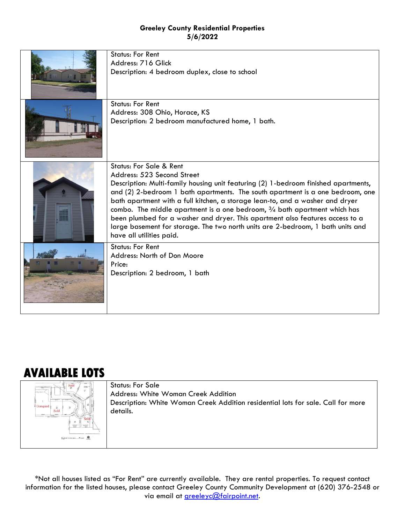| <b>Status: For Rent</b><br>Address: 716 Glick<br>Description: 4 bedroom duplex, close to school                                                                                                                                                                                                                                                                                                                                                                                                                                                                                                                    |
|--------------------------------------------------------------------------------------------------------------------------------------------------------------------------------------------------------------------------------------------------------------------------------------------------------------------------------------------------------------------------------------------------------------------------------------------------------------------------------------------------------------------------------------------------------------------------------------------------------------------|
| <b>Status: For Rent</b><br>Address: 308 Ohio, Horace, KS<br>Description: 2 bedroom manufactured home, 1 bath.                                                                                                                                                                                                                                                                                                                                                                                                                                                                                                      |
| <b>Status: For Sale &amp; Rent</b><br>Address: 523 Second Street<br>Description: Multi-family housing unit featuring (2) 1-bedroom finished apartments,<br>and (2) 2-bedroom 1 bath apartments. The south apartment is a one bedroom, one<br>bath apartment with a full kitchen, a storage lean-to, and a washer and dryer<br>combo. The middle apartment is a one bedroom, $\frac{3}{4}$ bath apartment which has<br>been plumbed for a washer and dryer. This apartment also features access to a<br>large basement for storage. The two north units are 2-bedroom, 1 bath units and<br>have all utilities paid. |
| <b>Status: For Rent</b><br>Address: North of Don Moore<br>Price:<br>Description: 2 bedroom, 1 bath                                                                                                                                                                                                                                                                                                                                                                                                                                                                                                                 |

# **AVAILABLE LOTS**



Status: For Sale Address: White Woman Creek Addition Description: White Woman Creek Addition residential lots for sale. Call for more details.

\*Not all houses listed as "For Rent" are currently available. They are rental properties. To request contact information for the listed houses, please contact Greeley County Community Development at (620) 376-2548 or via email at [greeleyc@fairpoint.net.](mailto:greeleyc@fairpoint.net)